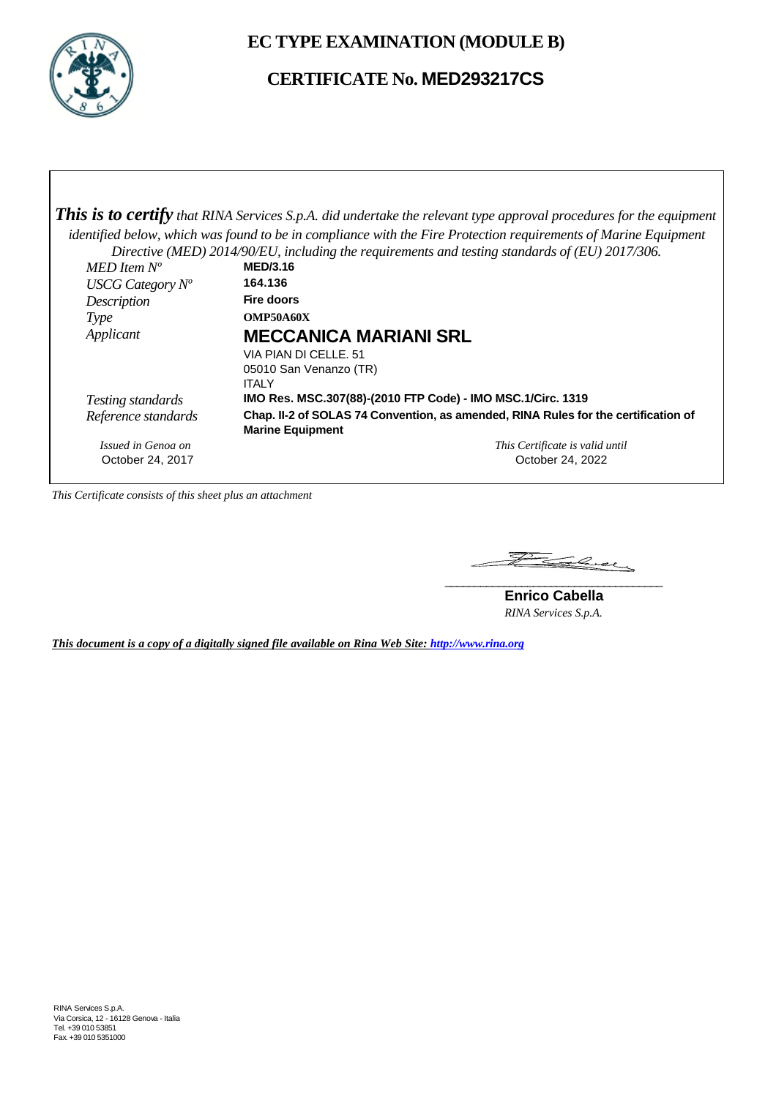

**EC TYPE EXAMINATION (MODULE B)**

## **CERTIFICATE No. MED293217CS**

*This is to certify that RINA Services S.p.A. did undertake the relevant type approval procedures for the equipment identified below, which was found to be in compliance with the Fire Protection requirements of Marine Equipment Directive (MED) 2014/90/EU, including the requirements and testing standards of (EU) 2017/306. MED Item N<sup>o</sup>* **MED/3.16**<br>*ISCG Category N<sup>o</sup>* **164.136** *USCG Category Nº* **164.136** *Description* **Fire doors** *Type* **OMP50A60X** *Applicant* **MECCANICA MARIANI SRL** VIA PIAN DI CELLE. 51 05010 San Venanzo (TR) **ITALY** *Testing standards* **IMO Res. MSC.307(88)-(2010 FTP Code) - IMO MSC.1/Circ. 1319** *Reference standards* **Chap. II-2 of SOLAS 74 Convention, as amended, RINA Rules for the certification of Marine Equipment** *Issued in Genoa on* October 24, 2017 *This Certificate is valid until* October 24, 2022

*This Certificate consists of this sheet plus an attachment*

Falcey **\_\_\_\_\_\_\_\_\_\_\_\_\_\_\_\_\_\_\_\_\_\_\_\_\_\_\_\_\_\_\_\_\_\_\_\_\_**

**Enrico Cabella** *RINA Services S.p.A.*

*This document is a copy of a digitally signed file available on Rina Web Site: http://www.rina.org*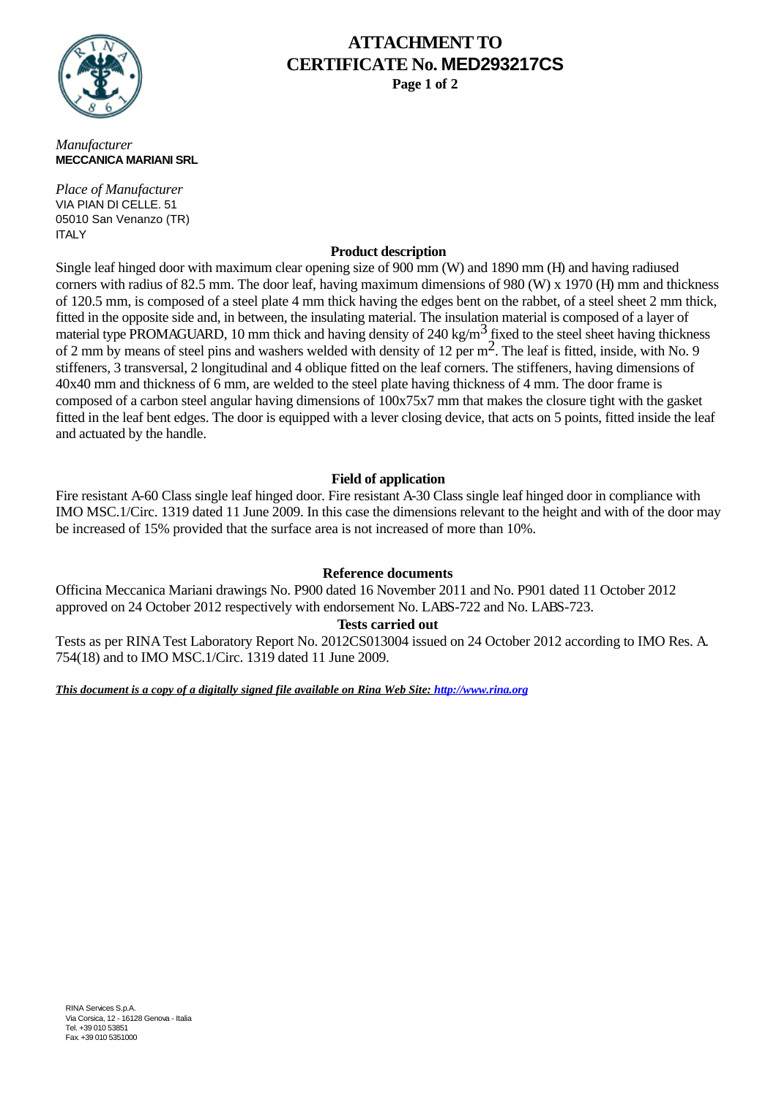

# **ATTACHMENT TO CERTIFICATE No. MED293217CS**

**Page 1 of 2**

*Manufacturer* **MECCANICA MARIANI SRL**

*Place of Manufacturer* VIA PIAN DI CELLE. 51 05010 San Venanzo (TR) **ITALY** 

#### **Product description**

Single leaf hinged door with maximum clear opening size of 900 mm (W) and 1890 mm (H) and having radiused corners with radius of 82.5 mm. The door leaf, having maximum dimensions of 980 (W) x 1970 (H) mm and thickness of 120.5 mm, is composed of a steel plate 4 mm thick having the edges bent on the rabbet, of a steel sheet 2 mm thick, fitted in the opposite side and, in between, the insulating material. The insulation material is composed of a layer of material type PROMAGUARD, 10 mm thick and having density of 240 kg/m<sup>3</sup> fixed to the steel sheet having thickness of 2 mm by means of steel pins and washers welded with density of 12 per m<sup>2</sup>. The leaf is fitted, inside, with No. 9 stiffeners, 3 transversal, 2 longitudinal and 4 oblique fitted on the leaf corners. The stiffeners, having dimensions of 40x40 mm and thickness of 6 mm, are welded to the steel plate having thickness of 4 mm. The door frame is composed of a carbon steel angular having dimensions of 100x75x7 mm that makes the closure tight with the gasket fitted in the leaf bent edges. The door is equipped with a lever closing device, that acts on 5 points, fitted inside the leaf and actuated by the handle.

### **Field of application**

Fire resistant A-60 Class single leaf hinged door. Fire resistant A-30 Class single leaf hinged door in compliance with IMO MSC.1/Circ. 1319 dated 11 June 2009. In this case the dimensions relevant to the height and with of the door may be increased of 15% provided that the surface area is not increased of more than 10%.

### **Reference documents**

Officina Meccanica Mariani drawings No. P900 dated 16 November 2011 and No. P901 dated 11 October 2012 approved on 24 October 2012 respectively with endorsement No. LABS-722 and No. LABS-723.

#### **Tests carried out**

Tests as per RINA Test Laboratory Report No. 2012CS013004 issued on 24 October 2012 according to IMO Res. A. 754(18) and to IMO MSC.1/Circ. 1319 dated 11 June 2009.

*This document is a copy of a digitally signed file available on Rina Web Site: http://www.rina.org*